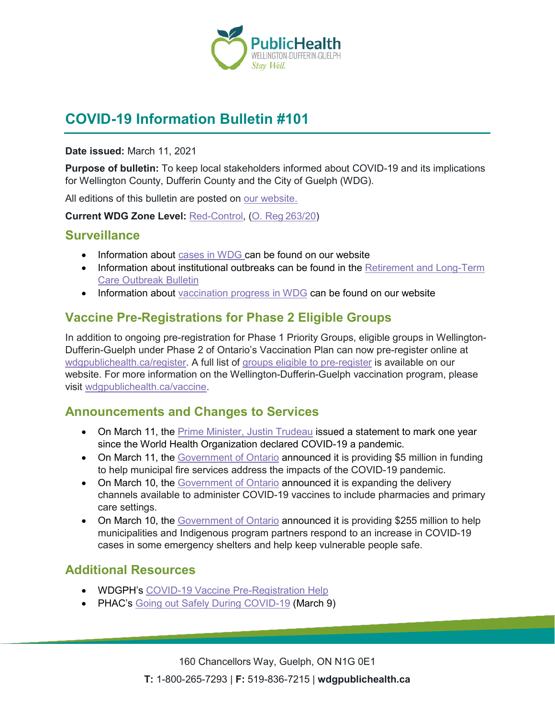

# **COVID-19 Information Bulletin #101**

#### **Date issued:** March 11, 2021

**Purpose of bulletin:** To keep local stakeholders informed about COVID-19 and its implications for Wellington County, Dufferin County and the City of Guelph (WDG).

All editions of this bulletin are posted on [our website.](https://www.wdgpublichealth.ca/your-health/covid-19-information-workplaces-and-living-spaces/community-stakeholder-bulletins)

**Current WDG Zone Level:** [Red-Control,](https://www.ontario.ca/page/covid-19-response-framework-keeping-ontario-safe-and-open#control) ([O. Reg 263/20](https://www.ontario.ca/laws/regulation/200263))

### **Surveillance**

- Information about [cases in WDG](https://wdgpublichealth.ca/your-health/covid-19-information-public/status-cases-wdg) can be found on our website
- Information about institutional outbreaks can be found in the Retirement and Long-Term [Care Outbreak Bulletin](https://wdgpublichealth.ca/node/1542)
- Information about [vaccination progress](https://www.wdgpublichealth.ca/your-health/covid-19-information-public/covid-19-vaccine-information-public) in WDG can be found on our website

## **Vaccine Pre-Registrations for Phase 2 Eligible Groups**

In addition to ongoing pre-registration for Phase 1 Priority Groups, eligible groups in Wellington-Dufferin-Guelph under Phase 2 of Ontario's Vaccination Plan can now pre-register online at [wdgpublichealth.ca/register](https://www.wdgpublichealth.ca/your-health/covid-19-information-public/covid-19-vaccine-information/pre-register-your-covid-19). A full list of [groups eligible to pre-register](https://www.wdgpublichealth.ca/your-health/covid-19-information-public/covid-19-vaccine-information/pre-register-your-covid-19) is available on our website. For more information on the Wellington-Dufferin-Guelph vaccination program, please visit [wdgpublichealth.ca/vaccine](https://www.wdgpublichealth.ca/your-health/covid-19-information-workplaces-and-living-spaces/covid-19-information-public/covid-19-1).

## **Announcements and Changes to Services**

- On March 11, the [Prime Minister, Justin Trudeau](https://pm.gc.ca/en/news/statements/2021/03/11/statement-prime-minister-mark-one-year-world-health-organization) issued a statement to mark one year since the World Health Organization declared COVID-19 a pandemic.
- On March 11, the [Government of Ontario](https://news.ontario.ca/en/release/60651/ontario-providing-support-to-local-fire-services-during-covid-19) announced it is providing \$5 million in funding to help municipal fire services address the impacts of the COVID-19 pandemic.
- On March 10, the [Government of Ontario](https://news.ontario.ca/en/release/60628/ontario-pharmacies-and-primary-care-settings-to-begin-offering-covid-19-vaccinations) announced it is expanding the delivery channels available to administer COVID-19 vaccines to include pharmacies and primary care settings.
- On March 10, the [Government of Ontario](https://news.ontario.ca/en/release/60614/ontario-takes-further-action-to-protect-homeless-shelters-during-covid-19) announced it is providing \$255 million to help municipalities and Indigenous program partners respond to an increase in COVID-19 cases in some emergency shelters and help keep vulnerable people safe.

## **Additional Resources**

- WDGPH's [COVID-19 Vaccine Pre-Registration Help](https://www.wdgpublichealth.ca/your-health/covid-19-information-public/covid-19-vaccine-information/pre-register-your-covid-19)
- PHAC's [Going out Safely During COVID-19](https://www.canada.ca/en/public-health/services/publications/diseases-conditions/covid-19-going-out-safely.html) (March 9)